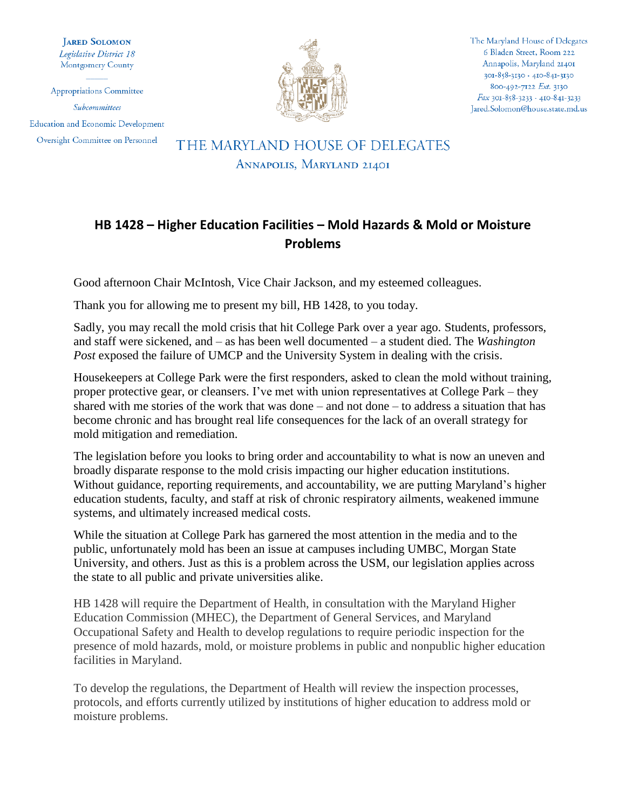**JARED SOLOMON** Legislative District 18 Montgomery County

Appropriations Committee Subcommittees **Education and Economic Development** Oversight Committee on Personnel



The Maryland House of Delegates 6 Bladen Street, Room 222 Annapolis, Maryland 21401  $301 - 858 - 3130 + 410 - 841 - 3130$ 800-492-7122 Ext. 3130  $Fax$  301-858-3233 · 410-841-3233 Jared.Solomon@house.state.md.us

## THE MARYLAND HOUSE OF DELEGATES ANNAPOLIS, MARYLAND 21401

## **HB 1428 – Higher Education Facilities – Mold Hazards & Mold or Moisture Problems**

Good afternoon Chair McIntosh, Vice Chair Jackson, and my esteemed colleagues.

Thank you for allowing me to present my bill, HB 1428, to you today.

Sadly, you may recall the mold crisis that hit College Park over a year ago. Students, professors, and staff were sickened, and – as has been well documented – a student died. The *Washington Post* exposed the failure of UMCP and the University System in dealing with the crisis.

Housekeepers at College Park were the first responders, asked to clean the mold without training, proper protective gear, or cleansers. I've met with union representatives at College Park – they shared with me stories of the work that was done – and not done – to address a situation that has become chronic and has brought real life consequences for the lack of an overall strategy for mold mitigation and remediation.

The legislation before you looks to bring order and accountability to what is now an uneven and broadly disparate response to the mold crisis impacting our higher education institutions. Without guidance, reporting requirements, and accountability, we are putting Maryland's higher education students, faculty, and staff at risk of chronic respiratory ailments, weakened immune systems, and ultimately increased medical costs.

While the situation at College Park has garnered the most attention in the media and to the public, unfortunately mold has been an issue at campuses including UMBC, Morgan State University, and others. Just as this is a problem across the USM, our legislation applies across the state to all public and private universities alike.

HB 1428 will require the Department of Health, in consultation with the Maryland Higher Education Commission (MHEC), the Department of General Services, and Maryland Occupational Safety and Health to develop regulations to require periodic inspection for the presence of mold hazards, mold, or moisture problems in public and nonpublic higher education facilities in Maryland.

To develop the regulations, the Department of Health will review the inspection processes, protocols, and efforts currently utilized by institutions of higher education to address mold or moisture problems.